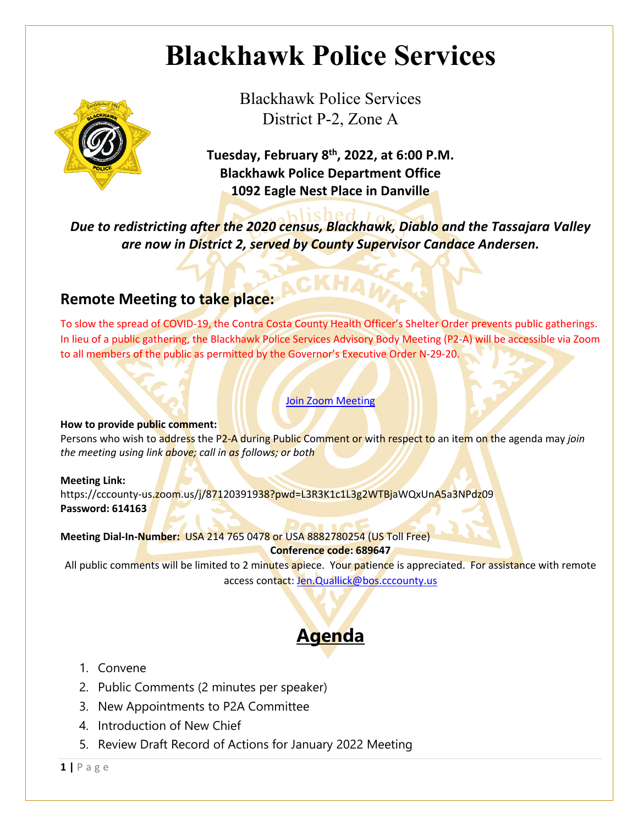# **Blackhawk Police Services**



Blackhawk Police Services District P-2, Zone A

**Tuesday, February 8th, 2022, at 6:00 P.M. Blackhawk Police Department Office 1092 Eagle Nest Place in Danville**

*Due to redistricting after the 2020 census, Blackhawk, Diablo and the Tassajara Valley are now in District 2, served by County Supervisor Candace Andersen.*

### **Remote Meeting to take place:**

To slow the spread of COVID-19, the Contra Costa County Health Officer's Shelter Order prevents public gatherings. In lieu of a public gathering, the Blackhawk Police Services Advisory Body Meeting (P2-A) will be accessible via Zoom to all members of the public as permitted by the Governor's Executive Order N-29-20.

#### Join Zoom Meeting

#### **How to provide public comment:**

Persons who wish to address the P2-A during Public Comment or with respect to an item on the agenda may *join the meeting using link above; call in as follows; or both*

#### **Meeting Link:**

https://cccounty-us.zoom.us/j/87120391938?pwd=L3R3K1c1L3g2WTBjaWQxUnA5a3NPdz09 **Password: 614163**

**Meeting Dial-In-Number:** USA 214 765 0478 or USA 8882780254 (US Toll Free) **Conference code: 689647**

All public comments will be limited to 2 minutes apiece. Your patience is appreciated. For assistance with remote access contact: Jen.Quallick@bos.cccounty.us

### **Agenda**

- 1. Convene
- 2. Public Comments (2 minutes per speaker)
- 3. New Appointments to P2A Committee
- 4. Introduction of New Chief
- 5. Review Draft Record of Actions for January 2022 Meeting